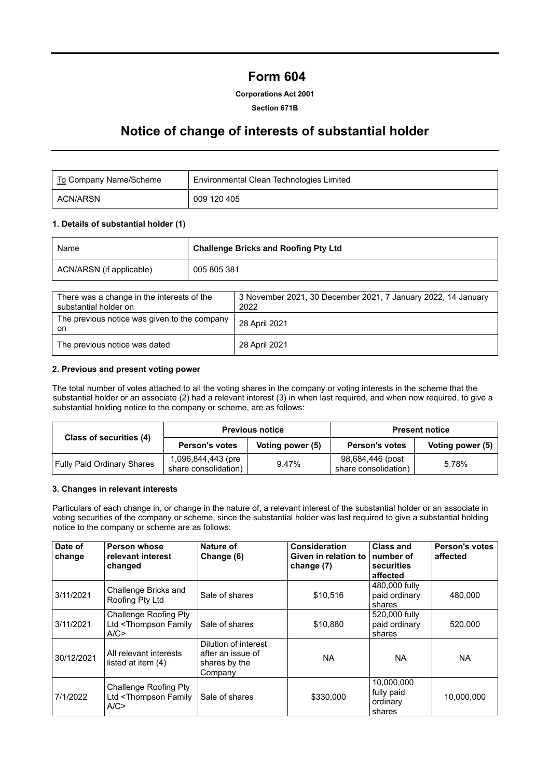# **Form 604**

#### **Corporations Act 2001**

#### **Section 671B**

### **Notice of change of interests of substantial holder**

| To Company Name/Scheme | Environmental Clean Technologies Limited |
|------------------------|------------------------------------------|
| ACN/ARSN               | 009 120 405                              |

#### **1. Details of substantial holder (1)**

| Name                     | <b>Challenge Bricks and Roofing Pty Ltd</b> |  |
|--------------------------|---------------------------------------------|--|
| ACN/ARSN (if applicable) | 005 805 381                                 |  |

| There was a change in the interests of the<br>substantial holder on | 3 November 2021, 30 December 2021, 7 January 2022, 14 January<br>2022 |
|---------------------------------------------------------------------|-----------------------------------------------------------------------|
| The previous notice was given to the company<br>on                  | 28 April 2021                                                         |
| The previous notice was dated                                       | 28 April 2021                                                         |

### **2. Previous and present voting power**

The total number of votes attached to all the voting shares in the company or voting interests in the scheme that the substantial holder or an associate (2) had a relevant interest (3) in when last required, and when now required, to give a substantial holding notice to the company or scheme, are as follows:

| Class of securities (4)    |                                            | <b>Previous notice</b> | <b>Present notice</b>                    |                  |  |
|----------------------------|--------------------------------------------|------------------------|------------------------------------------|------------------|--|
|                            | <b>Person's votes</b>                      | Voting power (5)       | <b>Person's votes</b>                    | Voting power (5) |  |
| Fully Paid Ordinary Shares | 1,096,844,443 (pre<br>share consolidation) | 9.47%                  | 98,684,446 (post<br>share consolidation) | 5.78%            |  |

#### **3. Changes in relevant interests**

Particulars of each change in, or change in the nature of, a relevant interest of the substantial holder or an associate in voting securities of the company or scheme, since the substantial holder was last required to give a substantial holding notice to the company or scheme are as follows:

| Date of<br>change | <b>Person whose</b><br>relevant interest<br>changed                | Nature of<br>Change (6)                                               | Consideration<br>Given in relation to<br>change (7) | <b>Class and</b><br>number of<br>securities<br>affected | <b>Person's votes</b><br>affected |
|-------------------|--------------------------------------------------------------------|-----------------------------------------------------------------------|-----------------------------------------------------|---------------------------------------------------------|-----------------------------------|
| 3/11/2021         | Challenge Bricks and<br>Roofing Pty Ltd                            | Sale of shares                                                        | \$10,516                                            | 480,000 fully<br>paid ordinary<br>shares                | 480.000                           |
| 3/11/2021         | Challenge Roofing Pty<br>Ltd <thompson family<br="">A/C</thompson> | Sale of shares                                                        | \$10,880                                            | 520,000 fully<br>paid ordinary<br>shares                | 520.000                           |
| 30/12/2021        | All relevant interests<br>listed at item (4)                       | Dilution of interest<br>after an issue of<br>shares by the<br>Company | <b>NA</b>                                           | <b>NA</b>                                               | <b>NA</b>                         |
| 7/1/2022          | Challenge Roofing Pty<br>Ltd <thompson family<br="">A/C</thompson> | Sale of shares                                                        | \$330,000                                           | 10,000,000<br>fully paid<br>ordinary<br>shares          | 10,000,000                        |